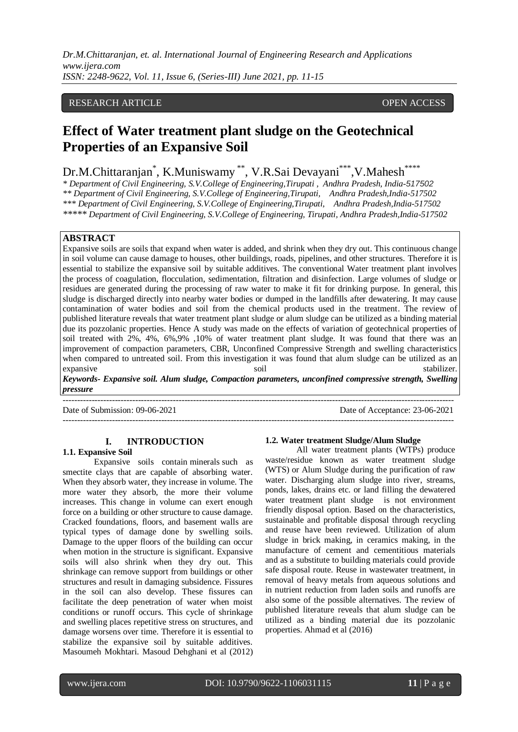# RESEARCH ARTICLE **CONSERVERS** OPEN ACCESS

# **Effect of Water treatment plant sludge on the Geotechnical Properties of an Expansive Soil**

Dr.M.Chittaranjan<sup>\*</sup>, K.Muniswamy<sup>\*\*</sup>, V.R.Sai Devayani<sup>\*\*\*</sup>, V.Mahesh<sup>\*\*\*\*</sup>

*\* Department of Civil Engineering, S.V.College of Engineering,Tirupati , Andhra Pradesh, India-517502 \*\* Department of Civil Engineering, S.V.College of Engineering,Tirupati, Andhra Pradesh,India-517502 \*\*\* Department of Civil Engineering, S.V.College of Engineering,Tirupati, Andhra Pradesh,India-517502 \*\*\*\*\* Department of Civil Engineering, S.V.College of Engineering, Tirupati, Andhra Pradesh,India-517502*

# **ABSTRACT**

Expansive soils are soils that expand when water is added, and shrink when they dry out. This continuous change in soil volume can cause damage to houses, other buildings, roads, pipelines, and other structures. Therefore it is essential to stabilize the expansive soil by suitable additives. The conventional Water treatment plant involves the process of coagulation, flocculation, sedimentation, filtration and disinfection. Large volumes of sludge or residues are generated during the processing of raw water to make it fit for drinking purpose. In general, this sludge is discharged directly into nearby water bodies or dumped in the landfills after dewatering. It may cause contamination of water bodies and soil from the chemical products used in the treatment. The review of published literature reveals that water treatment plant sludge or alum sludge can be utilized as a binding material due its pozzolanic properties. Hence A study was made on the effects of variation of geotechnical properties of soil treated with 2%, 4%, 6%,9% ,10% of water treatment plant sludge. It was found that there was an improvement of compaction parameters, CBR, Unconfined Compressive Strength and swelling characteristics when compared to untreated soil. From this investigation it was found that alum sludge can be utilized as an expansive soil stabilizer.

*Keywords- Expansive soil. Alum sludge, Compaction parameters, unconfined compressive strength, Swelling pressure*

 $-1.1$ 

Date of Submission: 09-06-2021 Date of Acceptance: 23-06-2021

---------------------------------------------------------------------------------------------------------------------------------------

# **I. INTRODUCTION**

## **1.1. Expansive Soil**

Expansive soils contain minerals such as smectite clays that are capable of absorbing water. When they absorb water, they increase in volume. The more water they absorb, the more their volume increases. This change in volume can exert enough force on a building or other structure to cause damage. Cracked foundations, floors, and basement walls are typical types of damage done by swelling soils. Damage to the upper floors of the building can occur when motion in the structure is significant. Expansive soils will also shrink when they dry out. This shrinkage can remove support from buildings or other structures and result in damaging subsidence. Fissures in the soil can also develop. These fissures can facilitate the deep penetration of water when moist conditions or runoff occurs. This cycle of shrinkage and swelling places repetitive stress on structures, and damage worsens over time. Therefore it is essential to stabilize the expansive soil by suitable additives. Masoumeh Mokhtari. Masoud Dehghani et al (2012)

#### **1.2. Water treatment Sludge/Alum Sludge**

All water treatment plants (WTPs) produce waste/residue known as water treatment sludge (WTS) or Alum Sludge during the purification of raw water. Discharging alum sludge into river, streams, ponds, lakes, drains etc. or land filling the dewatered water treatment plant sludge is not environment friendly disposal option. Based on the characteristics, sustainable and profitable disposal through recycling and reuse have been reviewed. Utilization of alum sludge in brick making, in ceramics making, in the manufacture of cement and cementitious materials and as a substitute to building materials could provide safe disposal route. Reuse in wastewater treatment, in removal of heavy metals from aqueous solutions and in nutrient reduction from laden soils and runoffs are also some of the possible alternatives. The review of published literature reveals that alum sludge can be utilized as a binding material due its pozzolanic properties. [Ahmad](file:///C:/Users/HP/Desktop/New%20folder%20(3)/Alum%20sludge/S1878029616301773.html%23!) et al (2016)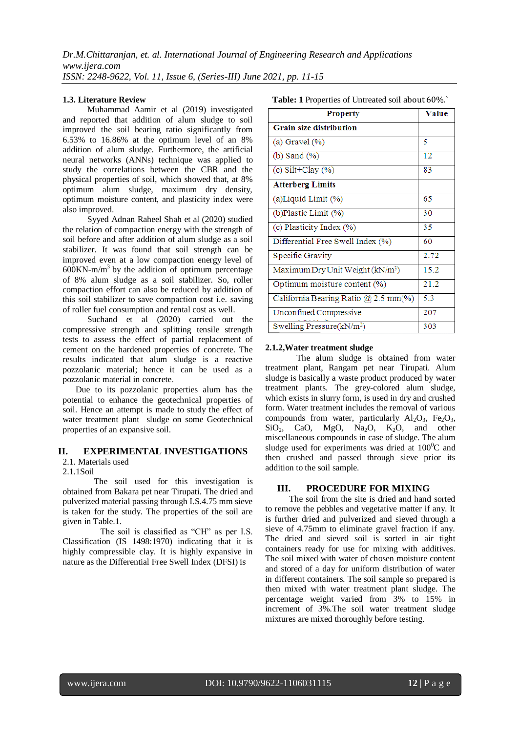## **1.3. Literature Review**

Muhammad Aamir et al (2019) investigated and reported that addition of alum sludge to soil improved the soil bearing ratio significantly from 6.53% to 16.86% at the optimum level of an 8% addition of alum sludge. Furthermore, the artificial neural networks (ANNs) technique was applied to study the correlations between the CBR and the physical properties of soil, which showed that, at 8% optimum alum sludge, maximum dry density, optimum moisture content, and plasticity index were also improved.

[Syyed Adnan Raheel Shah](https://www.sciencedirect.com/science/article/abs/pii/S0950061819323955#!) et al (2020) studied the relation of compaction energy with the strength of soil before and after addition of alum sludge as a soil stabilizer. It was found that soil strength can be improved even at a low compaction energy level of  $600$ KN-m/m<sup>3</sup> by the addition of optimum percentage of 8% alum sludge as a soil stabilizer. So, roller compaction effort can also be reduced by addition of this soil stabilizer to save compaction cost i.e. saving of roller fuel consumption and rental cost as well.

Suchand et al (2020) carried out the compressive strength and splitting tensile strength tests to assess the effect of partial replacement of cement on the hardened properties of concrete. The results indicated that alum sludge is a reactive pozzolanic material; hence it can be used as a pozzolanic material in concrete.

 Due to its pozzolanic properties alum has the potential to enhance the geotechnical properties of soil. Hence an attempt is made to study the effect of water treatment plant sludge on some Geotechnical properties of an expansive soil.

# **II. EXPERIMENTAL INVESTIGATIONS**

2.1. Materials used

2.1.1Soil

The soil used for this investigation is obtained from Bakara pet near Tirupati. The dried and pulverized material passing through I.S.4.75 mm sieve is taken for the study. The properties of the soil are given in Table.1.

 The soil is classified as "CH" as per I.S. Classification (IS 1498:1970) indicating that it is highly compressible clay. It is highly expansive in nature as the Differential Free Swell Index (DFSI) is

|  |  | Table: 1 Properties of Untreated soil about 60%. |  |
|--|--|--------------------------------------------------|--|
|--|--|--------------------------------------------------|--|

| <b>Property</b>                              | Value |
|----------------------------------------------|-------|
| <b>Grain size distribution</b>               |       |
| (a) Gravel $(\%)$                            | 5     |
| (b) Sand $(\%)$                              | 12    |
| (c) Silt+Clay $(\%)$                         | 83    |
| <b>Atterberg Limits</b>                      |       |
| (a)Liquid Limit (%)                          | 65    |
| (b)Plastic Limit (%)                         | 30    |
| (c) Plasticity Index (%)                     | 35    |
| Differential Free Swell Index (%)            | 60    |
| <b>Specific Gravity</b>                      | 2.72  |
| Maximum Dry Unit Weight (kN/m <sup>3</sup> ) | 15.2  |
| Optimum moisture content (%)                 | 21.2  |
| California Bearing Ratio @ 2.5 mm(%)         | 5.3   |
| Unconfined Compressive                       | 207   |
| Swelling Pressure(kN/m <sup>2</sup> )        | 303   |

## **2.1.2,Water treatment sludge**

The alum sludge is obtained from water treatment plant, Rangam pet near Tirupati. Alum sludge is basically a waste product produced by water treatment plants. The grey-colored alum sludge, which exists in slurry form, is used in dry and crushed form. Water treatment includes the removal of various compounds from water, particularly  $Al_2O_3$ , Fe<sub>2</sub>O<sub>3</sub>,  $SiO_2$ , CaO, MgO, Na<sub>2</sub>O, K<sub>2</sub>O, and other miscellaneous compounds in case of sludge. The alum sludge used for experiments was dried at  $100^{\circ}$ C and then crushed and passed through sieve prior its addition to the soil sample.

# **III. PROCEDURE FOR MIXING**

 The soil from the site is dried and hand sorted to remove the pebbles and vegetative matter if any. It is further dried and pulverized and sieved through a sieve of 4.75mm to eliminate gravel fraction if any. The dried and sieved soil is sorted in air tight containers ready for use for mixing with additives. The soil mixed with water of chosen moisture content and stored of a day for uniform distribution of water in different containers. The soil sample so prepared is then mixed with water treatment plant sludge. The percentage weight varied from 3% to 15% in increment of 3%.The soil water treatment sludge mixtures are mixed thoroughly before testing.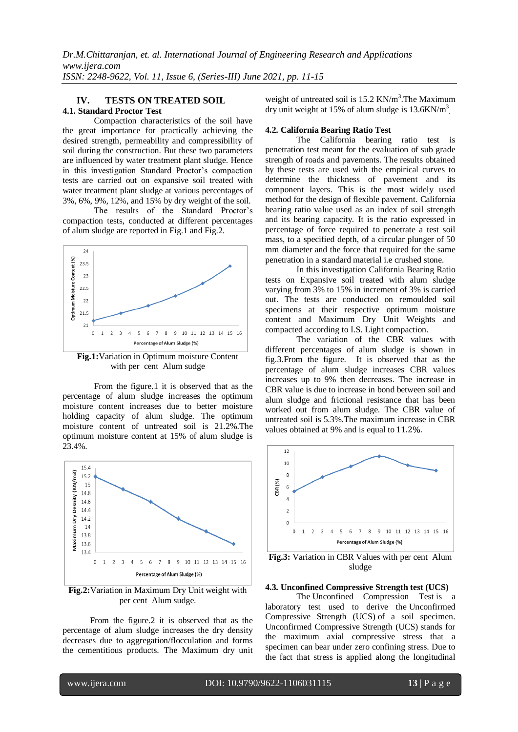# **IV. TESTS ON TREATED SOIL**

# **4.1. Standard Proctor Test**

Compaction characteristics of the soil have the great importance for practically achieving the desired strength, permeability and compressibility of soil during the construction. But these two parameters are influenced by water treatment plant sludge. Hence in this investigation Standard Proctor's compaction tests are carried out on expansive soil treated with water treatment plant sludge at various percentages of 3%, 6%, 9%, 12%, and 15% by dry weight of the soil.

The results of the Standard Proctor's compaction tests, conducted at different percentages of alum sludge are reported in Fig.1 and Fig.2.



**Fig.1:**Variation in Optimum moisture Content with per cent Alum sudge

From the figure.1 it is observed that as the percentage of alum sludge increases the optimum moisture content increases due to better moisture holding capacity of alum sludge. The optimum moisture content of untreated soil is 21.2%.The optimum moisture content at 15% of alum sludge is 23.4%.



**Fig.2:**Variation in Maximum Dry Unit weight with per cent Alum sudge.

From the figure.2 it is observed that as the percentage of alum sludge increases the dry density decreases due to aggregation/flocculation and forms the cementitious products. The Maximum dry unit weight of untreated soil is 15.2 KN/m<sup>3</sup>. The Maximum dry unit weight at 15% of alum sludge is  $13.6$ KN/m<sup>3</sup>

## **4.2. California Bearing Ratio Test**

The California bearing ratio test is penetration test meant for the evaluation of sub grade strength of roads and pavements. The results obtained by these tests are used with the empirical curves to determine the thickness of pavement and its component layers. This is the most widely used method for the design of flexible pavement. California bearing ratio value used as an index of soil strength and its bearing capacity. It is the ratio expressed in percentage of force required to penetrate a test soil mass, to a specified depth, of a circular plunger of 50 mm diameter and the force that required for the same penetration in a standard material i.e crushed stone.

In this investigation California Bearing Ratio tests on Expansive soil treated with alum sludge varying from 3% to 15% in increment of 3% is carried out. The tests are conducted on remoulded soil specimens at their respective optimum moisture content and Maximum Dry Unit Weights and compacted according to I.S. Light compaction.

The variation of the CBR values with different percentages of alum sludge is shown in fig.3.From the figure. It is observed that as the percentage of alum sludge increases CBR values increases up to 9% then decreases. The increase in CBR value is due to increase in bond between soil and alum sludge and frictional resistance that has been worked out from alum sludge. The CBR value of untreated soil is 5.3%.The maximum increase in CBR values obtained at 9% and is equal to 11.2%.



**Fig.3:** Variation in CBR Values with per cent Alum sludge

#### **4.3. Unconfined Compressive Strength test (UCS)**

The Unconfined Compression Test is a laboratory test used to derive the Unconfirmed Compressive Strength (UCS) of a soil specimen. Unconfirmed Compressive Strength (UCS) stands for the maximum axial compressive stress that a specimen can bear under zero confining stress. Due to the fact that stress is applied along the longitudinal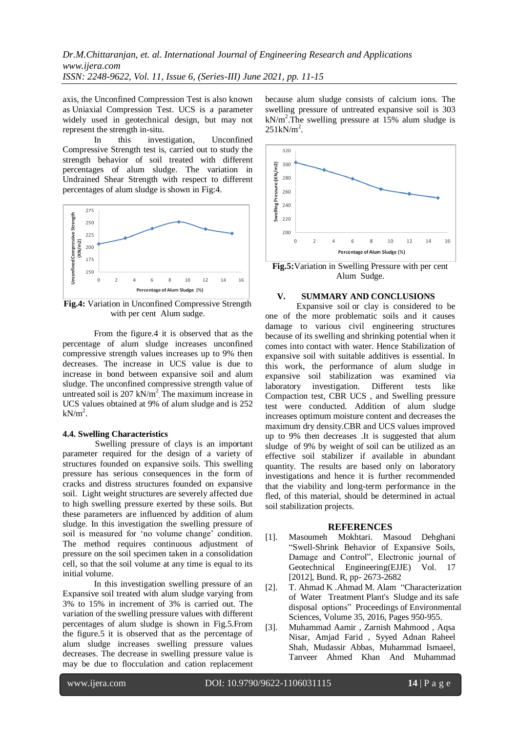axis, the Unconfined Compression Test is also known as Uniaxial Compression Test. UCS is a parameter widely used in geotechnical design, but may not represent the strength in-situ.

In this investigation, Unconfined Compressive Strength test is, carried out to study the strength behavior of soil treated with different percentages of alum sludge. The variation in Undrained Shear Strength with respect to different percentages of alum sludge is shown in Fig:4.



**Fig.4:** Variation in Unconfined Compressive Strength with per cent Alum sudge.

From the figure.4 it is observed that as the percentage of alum sludge increases unconfined compressive strength values increases up to 9% then decreases. The increase in UCS value is due to increase in bond between expansive soil and alum sludge. The unconfined compressive strength value of untreated soil is 207 kN/m<sup>2</sup>. The maximum increase in UCS values obtained at 9% of alum sludge and is 252  $kN/m<sup>2</sup>$ .

#### **4.4. Swelling Characteristics**

 Swelling pressure of clays is an important parameter required for the design of a variety of structures founded on expansive soils. This swelling pressure has serious consequences in the form of cracks and distress structures founded on expansive soil. Light weight structures are severely affected due to high swelling pressure exerted by these soils. But these parameters are influenced by addition of alum sludge. In this investigation the swelling pressure of soil is measured for 'no volume change' condition. The method requires continuous adjustment of pressure on the soil specimen taken in a consolidation cell, so that the soil volume at any time is equal to its initial volume.

In this investigation swelling pressure of an Expansive soil treated with alum sludge varying from 3% to 15% in increment of 3% is carried out. The variation of the swelling pressure values with different percentages of alum sludge is shown in Fig.5.From the figure.5 it is observed that as the percentage of alum sludge increases swelling pressure values decreases. The decrease in swelling pressure value is may be due to flocculation and cation replacement

because alum sludge consists of calcium ions. The swelling pressure of untreated expansive soil is 303  $kN/m<sup>2</sup>$ . The swelling pressure at 15% alum sludge is  $251 \text{kN/m}^2$ .



**Fig.5:**Variation in Swelling Pressure with per cent Alum Sudge.

# **V. SUMMARY AND CONCLUSIONS**

Expansive soil or clay is considered to be one of the more problematic soils and it causes damage to various civil engineering structures because of its swelling and shrinking potential when it comes into contact with water. Hence Stabilization of expansive soil with suitable additives is essential. In this work, the performance of alum sludge in expansive soil stabilization was examined via laboratory investigation. Different tests like Compaction test, CBR UCS , and Swelling pressure test were conducted. Addition of alum sludge increases optimum moisture content and decreases the maximum dry density.CBR and UCS values improved up to 9% then decreases .It is suggested that alum sludge of 9% by weight of soil can be utilized as an effective soil stabilizer if available in abundant quantity. The results are based only on laboratory investigations and hence it is further recommended that the viability and long-term performance in the fled, of this material, should be determined in actual soil stabilization projects.

#### **REFERENCES**

- [1]. Masoumeh Mokhtari. Masoud Dehghani "Swell-Shrink Behavior of Expansive Soils, Damage and Control", Electronic journal of Geotechnical Engineering(EJJE) Vol. 17 [2012], Bund. R, pp- 2673-2682
- [2]. T. [Ahmad](file:///C:/Users/HP/Desktop/New%20folder%20(3)/Alum%20sludge/S1878029616301773.html%23!) K [.Ahmad](file:///C:/Users/HP/Desktop/New%20folder%20(3)/Alum%20sludge/S1878029616301773.html%23!) M. [Alam](file:///C:/Users/HP/Desktop/New%20folder%20(3)/Alum%20sludge/S1878029616301773.html%23!) "Characterization of Water Treatment Plant's Sludge and its safe disposal options" Proceedings [of Environmental](file:///C:/science/journal/18780296)  [Sciences,](file:///C:/science/journal/18780296) [Volume 35,](file:///C:/science/journal/18780296/35/supp/C) 2016, Pages 950-955.
- [3]. Muhammad Aamir , Zarnish Mahmood , Aqsa Nisar, Amjad Farid , Syyed Adnan Raheel Shah, Mudassir Abbas, Muhammad Ismaeel, Tanveer Ahmed Khan And Muhammad